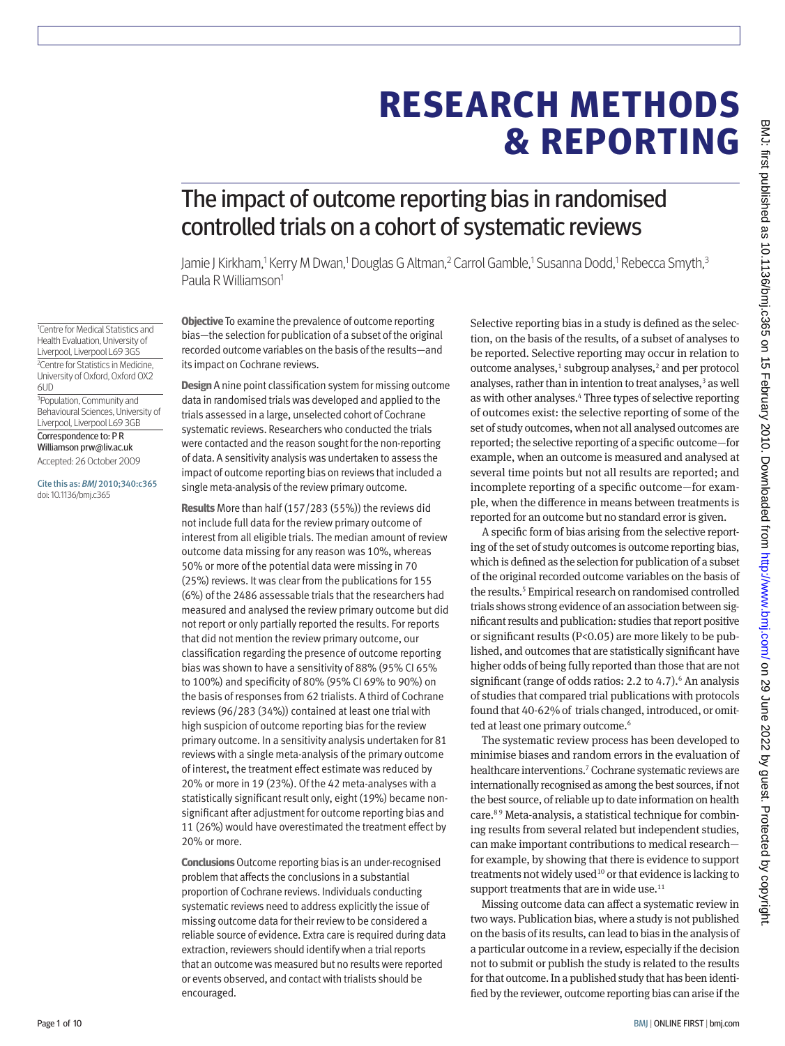# **research methods & reporting**

# The impact of outcome reporting bias in randomised controlled trials on a cohort of systematic reviews

Jamie J Kirkham,<sup>1</sup> Kerry M Dwan,<sup>1</sup> Douglas G Altman,<sup>2</sup> Carrol Gamble,<sup>1</sup> Susanna Dodd,<sup>1</sup> Rebecca Smyth,<sup>3</sup> Paula R Williamson<sup>1</sup>

1 Centre for Medical Statistics and Health Evaluation, University of Liverpool, Liverpool L69 3GS 2 Centre for Statistics in Medicine, University of Oxford, Oxford OX2 6UD

3 Population, Community and Behavioural Sciences, University of Liverpool, Liverpool L69 3GB Correspondence to: P R Williamson prw@liv.ac.uk Accepted: 26 October 2009

Cite this as: *BMJ* 2010;340:c365 doi: 10.1136/bmj.c365

**Objective** To examine the prevalence of outcome reporting bias—the selection for publication of a subset of the original recorded outcome variables on the basis of the results—and its impact on Cochrane reviews.

**Design** A nine point classification system for missing outcome data in randomised trials was developed and applied to the trials assessed in a large, unselected cohort of Cochrane systematic reviews. Researchers who conducted the trials were contacted and the reason sought for the non-reporting of data. A sensitivity analysis was undertaken to assess the impact of outcome reporting bias on reviews that included a single meta-analysis of the review primary outcome.

**Results** More than half (157/283 (55%)) the reviews did not include full data for the review primary outcome of interest from all eligible trials. The median amount of review outcome data missing for any reason was 10%, whereas 50% or more of the potential data were missing in 70 (25%) reviews. It was clear from the publications for 155 (6%) of the 2486 assessable trials that the researchers had measured and analysed the review primary outcome but did not report or only partially reported the results. For reports that did not mention the review primary outcome, our classification regarding the presence of outcome reporting bias was shown to have a sensitivity of 88% (95% CI 65% to 100%) and specificity of 80% (95% CI 69% to 90%) on the basis of responses from 62 trialists. A third of Cochrane reviews (96/283 (34%)) contained at least one trial with high suspicion of outcome reporting bias for the review primary outcome. In a sensitivity analysis undertaken for 81 reviews with a single meta-analysis of the primary outcome of interest, the treatment effect estimate was reduced by 20% or more in 19 (23%). Of the 42 meta-analyses with a statistically significant result only, eight (19%) became nonsignificant after adjustment for outcome reporting bias and 11 (26%) would have overestimated the treatment effect by 20% or more.

**Conclusions** Outcome reporting bias is an under-recognised problem that affects the conclusions in a substantial proportion of Cochrane reviews. Individuals conducting systematic reviews need to address explicitly the issue of missing outcome data for their review to be considered a reliable source of evidence. Extra care is required during data extraction, reviewers should identify when a trial reports that an outcome was measured but no results were reported or events observed, and contact with trialists should be encouraged.

Selective reporting bias in a study is defined as the selection, on the basis of the results, of a subset of analyses to be reported. Selective reporting may occur in relation to outcome analyses, $1$  subgroup analyses, $2$  and per protocol analyses, rather than in intention to treat analyses, $3$  as well as with other analyses.<sup>4</sup> Three types of selective reporting of outcomes exist: the selective reporting of some of the set of study outcomes, when not all analysed outcomes are reported; the selective reporting of a specific outcome—for example, when an outcome is measured and analysed at several time points but not all results are reported; and incomplete reporting of a specific outcome—for example, when the difference in means between treatments is reported for an outcome but no standard error is given.

A specific form of bias arising from the selective reporting of the set of study outcomes is outcome reporting bias, which is defined as the selection for publication of a subset of the original recorded outcome variables on the basis of the results.5 Empirical research on randomised controlled trials shows strong evidence of an association between significant results and publication: studies that report positive or significant results (P<0.05) are more likely to be published, and outcomes that are statistically significant have higher odds of being fully reported than those that are not significant (range of odds ratios:  $2.2$  to  $4.7$ ).<sup>6</sup> An analysis of studies that compared trial publications with protocols found that 40-62% of trials changed, introduced, or omitted at least one primary outcome.<sup>6</sup>

The systematic review process has been developed to minimise biases and random errors in the evaluation of healthcare interventions.<sup>7</sup> Cochrane systematic reviews are internationally recognised as among the best sources, if not the best source, of reliable up to date information on health care.8 9 Meta-analysis, a statistical technique for combining results from several related but independent studies, can make important contributions to medical research for example, by showing that there is evidence to support treatments not widely used<sup>10</sup> or that evidence is lacking to support treatments that are in wide use. $11$ 

Missing outcome data can affect a systematic review in two ways. Publication bias, where a study is not published on the basis of its results, can lead to bias in the analysis of a particular outcome in a review, especially if the decision not to submit or publish the study is related to the results for that outcome. In a published study that has been identified by the reviewer, outcome reporting bias can arise if the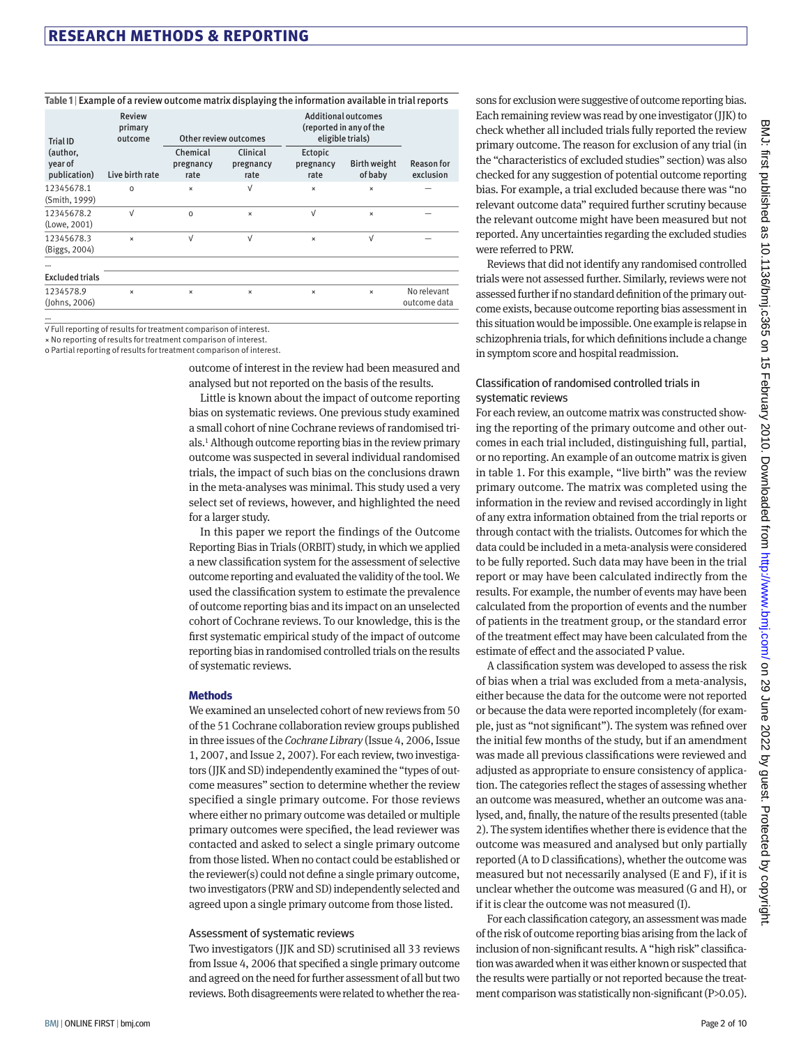#### **Table 1** | Example of a review outcome matrix displaying the information available in trial reports

| <b>Trial ID</b>                     | <b>Review</b><br>primary<br>outcome | <b>Additional outcomes</b><br>(reported in any of the<br>eligible trials)<br>Other review outcomes |                               |                              |                                |                                |
|-------------------------------------|-------------------------------------|----------------------------------------------------------------------------------------------------|-------------------------------|------------------------------|--------------------------------|--------------------------------|
| (author,<br>year of<br>publication) | Live birth rate                     | Chemical<br>pregnancy<br>rate                                                                      | Clinical<br>pregnancy<br>rate | Ectopic<br>pregnancy<br>rate | <b>Birth weight</b><br>of baby | <b>Reason for</b><br>exclusion |
| 12345678.1<br>(Smith, 1999)         | $\Omega$                            | $\times$                                                                                           | $\sqrt{ }$                    | ×                            | $\pmb{\times}$                 |                                |
| 12345678.2<br>(Lowe, 2001)          | $\sqrt{ }$                          | $\Omega$                                                                                           | $\pmb{\times}$                | $\sqrt{ }$                   | $\pmb{\times}$                 |                                |
| 12345678.3<br>(Biggs, 2004)         | $\times$                            | V                                                                                                  | $\sqrt{ }$                    | $\times$                     | $\sqrt{ }$                     |                                |
| $\cdots$                            |                                     |                                                                                                    |                               |                              |                                |                                |
| <b>Excluded trials</b>              |                                     |                                                                                                    |                               |                              |                                |                                |
| 1234578.9<br>(Johns, 2006)          | ×                                   | $\pmb{\times}$                                                                                     | $\pmb{\times}$                | ×                            | $\pmb{\times}$                 | No relevant<br>outcome data    |

… √ Full reporting of results for treatment comparison of interest.

× No reporting of results for treatment comparison of interest.

o Partial reporting of results for treatment comparison of interest.

outcome of interest in the review had been measured and analysed but not reported on the basis of the results.

Little is known about the impact of outcome reporting bias on systematic reviews. One previous study examined a small cohort of nine Cochrane reviews of randomised trials.1 Although outcome reporting bias in the review primary outcome was suspected in several individual randomised trials, the impact of such bias on the conclusions drawn in the meta-analyses was minimal. This study used a very select set of reviews, however, and highlighted the need for a larger study.

In this paper we report the findings of the Outcome Reporting Bias in Trials (ORBIT) study, in which we applied a new classification system for the assessment of selective outcome reporting and evaluated the validity of the tool. We used the classification system to estimate the prevalence of outcome reporting bias and its impact on an unselected cohort of Cochrane reviews. To our knowledge, this is the first systematic empirical study of the impact of outcome reporting bias in randomised controlled trials on the results of systematic reviews.

#### **Methods**

We examined an unselected cohort of new reviews from 50 of the 51 Cochrane collaboration review groups published in three issues of the *Cochrane Library* (Issue 4, 2006, Issue 1, 2007, and Issue 2, 2007). For each review, two investigators (JJK and SD) independently examined the "types of outcome measures" section to determine whether the review specified a single primary outcome. For those reviews where either no primary outcome was detailed or multiple primary outcomes were specified, the lead reviewer was contacted and asked to select a single primary outcome from those listed. When no contact could be established or the reviewer(s) could not define a single primary outcome, two investigators (PRW and SD) independently selected and agreed upon a single primary outcome from those listed.

#### Assessment of systematic reviews

Two investigators (JJK and SD) scrutinised all 33 reviews from Issue 4, 2006 that specified a single primary outcome and agreed on the need for further assessment of all but two reviews. Both disagreements were related to whether the rea-

sons for exclusion were suggestive of outcome reporting bias. Each remaining review was read by one investigator (JJK) to check whether all included trials fully reported the review primary outcome. The reason for exclusion of any trial (in the "characteristics of excluded studies" section) was also checked for any suggestion of potential outcome reporting bias. For example, a trial excluded because there was "no relevant outcome data" required further scrutiny because the relevant outcome might have been measured but not reported. Any uncertainties regarding the excluded studies were referred to PRW.

Reviews that did not identify any randomised controlled trials were not assessed further. Similarly, reviews were not assessed further if no standard definition of the primary outcome exists, because outcome reporting bias assessment in this situation would be impossible. One example is relapse in schizophrenia trials, for which definitions include a change in symptom score and hospital readmission.

# Classification of randomised controlled trials in systematic reviews

For each review, an outcome matrix was constructed showing the reporting of the primary outcome and other outcomes in each trial included, distinguishing full, partial, or no reporting. An example of an outcome matrix is given in table 1. For this example, "live birth" was the review primary outcome. The matrix was completed using the information in the review and revised accordingly in light of any extra information obtained from the trial reports or through contact with the trialists. Outcomes for which the data could be included in a meta-analysis were considered to be fully reported. Such data may have been in the trial report or may have been calculated indirectly from the results. For example, the number of events may have been calculated from the proportion of events and the number of patients in the treatment group, or the standard error of the treatment effect may have been calculated from the estimate of effect and the associated P value.

A classification system was developed to assess the risk of bias when a trial was excluded from a meta-analysis, either because the data for the outcome were not reported or because the data were reported incompletely (for example, just as "not significant"). The system was refined over the initial few months of the study, but if an amendment was made all previous classifications were reviewed and adjusted as appropriate to ensure consistency of application. The categories reflect the stages of assessing whether an outcome was measured, whether an outcome was analysed, and, finally, the nature of the results presented (table 2). The system identifies whether there is evidence that the outcome was measured and analysed but only partially reported (A to D classifications), whether the outcome was measured but not necessarily analysed (E and F), if it is unclear whether the outcome was measured (G and H), or if it is clear the outcome was not measured (I).

For each classification category, an assessment was made of the risk of outcome reporting bias arising from the lack of inclusion of non-significant results. A "high risk" classification was awarded when it was either known or suspected that the results were partially or not reported because the treatment comparison was statistically non-significant (P>0.05).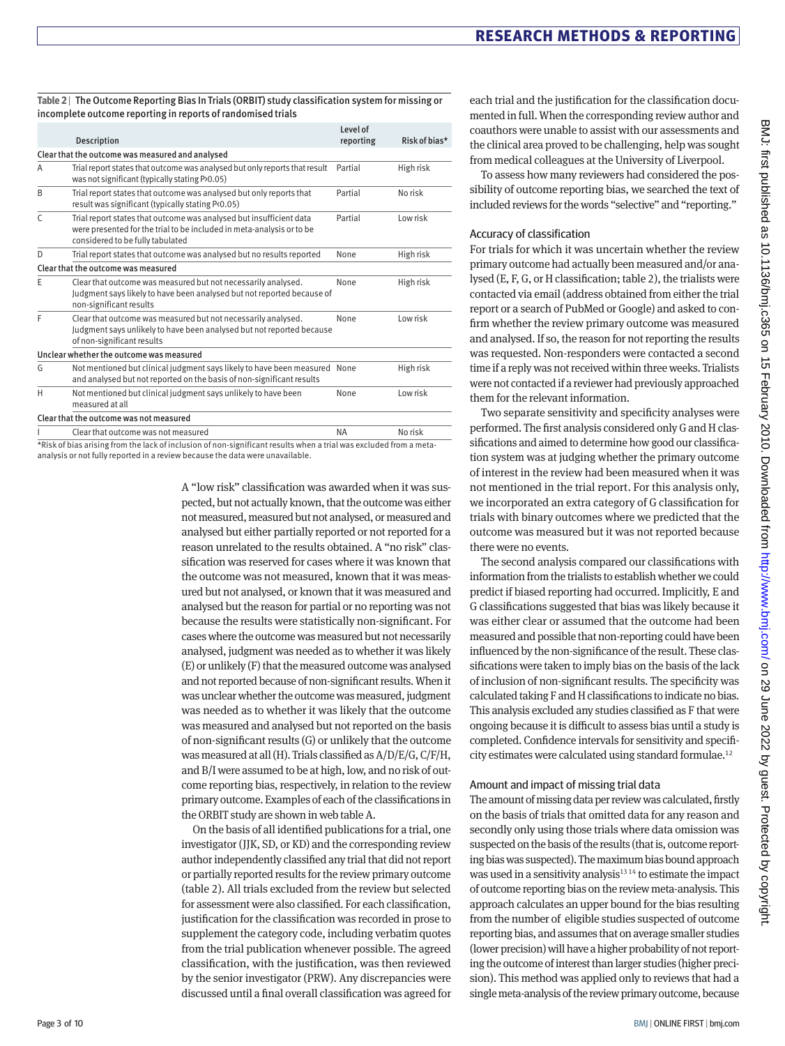**Table 2** | The Outcome Reporting Bias In Trials (ORBIT) study classification system for missing or incomplete outcome reporting in reports of randomised trials

|               | Description                                                                                                                                                                      | Level of<br>reporting | Risk of bias* |
|---------------|----------------------------------------------------------------------------------------------------------------------------------------------------------------------------------|-----------------------|---------------|
|               | Clear that the outcome was measured and analysed                                                                                                                                 |                       |               |
| A             | Trial report states that outcome was analysed but only reports that result<br>was not significant (typically stating P>0.05)                                                     | Partial               | High risk     |
| B             | Trial report states that outcome was analysed but only reports that<br>result was significant (typically stating P<0.05)                                                         | Partial               | No risk       |
| $\mathcal{C}$ | Trial report states that outcome was analysed but insufficient data<br>were presented for the trial to be included in meta-analysis or to be<br>considered to be fully tabulated | Partial               | Low risk      |
| D             | Trial report states that outcome was analysed but no results reported                                                                                                            | None                  | High risk     |
|               | Clear that the outcome was measured                                                                                                                                              |                       |               |
| F             | Clear that outcome was measured but not necessarily analysed.<br>Judgment says likely to have been analysed but not reported because of<br>non-significant results               | None                  | High risk     |
| F             | Clear that outcome was measured but not necessarily analysed.<br>Judgment says unlikely to have been analysed but not reported because<br>of non-significant results             | None                  | Low risk      |
|               | Unclear whether the outcome was measured                                                                                                                                         |                       |               |
| G             | Not mentioned but clinical judgment says likely to have been measured<br>and analysed but not reported on the basis of non-significant results                                   | None                  | High risk     |
| н             | Not mentioned but clinical judgment says unlikely to have been<br>measured at all                                                                                                | None                  | Low risk      |
|               | Clear that the outcome was not measured                                                                                                                                          |                       |               |
|               | Clear that outcome was not measured                                                                                                                                              | <b>NA</b>             | No risk       |
|               | *Rick of bias arising from the lask of inclusion of non-significant results when a trial was evoluded from a meta                                                                |                       |               |

Risk of bias arising from the lack of inclusion of non-significant results when a trial was excluded from a meta analysis or not fully reported in a review because the data were unavailable.

> A "low risk" classification was awarded when it was suspected, but not actually known, that the outcome was either not measured, measured but not analysed, or measured and analysed but either partially reported or not reported for a reason unrelated to the results obtained. A "no risk" classification was reserved for cases where it was known that the outcome was not measured, known that it was measured but not analysed, or known that it was measured and analysed but the reason for partial or no reporting was not because the results were statistically non-significant. For cases where the outcome was measured but not necessarily analysed, judgment was needed as to whether it was likely (E) or unlikely (F) that the measured outcome was analysed and not reported because of non-significant results. When it was unclear whether the outcome was measured, judgment was needed as to whether it was likely that the outcome was measured and analysed but not reported on the basis of non-significant results (G) or unlikely that the outcome was measured at all (H). Trials classified as A/D/E/G, C/F/H, and B/I were assumed to be at high, low, and no risk of outcome reporting bias, respectively, in relation to the review primary outcome. Examples of each of the classifications in the ORBIT study are shown in web table A.

> On the basis of all identified publications for a trial, one investigator (JJK, SD, or KD) and the corresponding review author independently classified any trial that did not report or partially reported results for the review primary outcome (table 2). All trials excluded from the review but selected for assessment were also classified. For each classification, justification for the classification was recorded in prose to supplement the category code, including verbatim quotes from the trial publication whenever possible. The agreed classification, with the justification, was then reviewed by the senior investigator (PRW). Any discrepancies were discussed until a final overall classification was agreed for

each trial and the justification for the classification documented in full. When the corresponding review author and coauthors were unable to assist with our assessments and the clinical area proved to be challenging, help was sought from medical colleagues at the University of Liverpool.

To assess how many reviewers had considered the possibility of outcome reporting bias, we searched the text of included reviews for the words "selective" and "reporting."

# Accuracy of classification

For trials for which it was uncertain whether the review primary outcome had actually been measured and/or analysed (E, F, G, or H classification; table 2), the trialists were contacted via email (address obtained from either the trial report or a search of PubMed or Google) and asked to confirm whether the review primary outcome was measured and analysed. If so, the reason for not reporting the results was requested. Non-responders were contacted a second time if a reply was not received within three weeks. Trialists were not contacted if a reviewer had previously approached them for the relevant information.

Two separate sensitivity and specificity analyses were performed. The first analysis considered only G and H classifications and aimed to determine how good our classification system was at judging whether the primary outcome of interest in the review had been measured when it was not mentioned in the trial report. For this analysis only, we incorporated an extra category of G classification for trials with binary outcomes where we predicted that the outcome was measured but it was not reported because there were no events.

The second analysis compared our classifications with information from the trialists to establish whether we could predict if biased reporting had occurred. Implicitly, E and G classifications suggested that bias was likely because it was either clear or assumed that the outcome had been measured and possible that non-reporting could have been influenced by the non-significance of the result. These classifications were taken to imply bias on the basis of the lack of inclusion of non-significant results. The specificity was calculated taking F and H classifications to indicate no bias. This analysis excluded any studies classified as F that were ongoing because it is difficult to assess bias until a study is completed. Confidence intervals for sensitivity and specificity estimates were calculated using standard formulae.12

# Amount and impact of missing trial data

The amount of missing data per review was calculated, firstly on the basis of trials that omitted data for any reason and secondly only using those trials where data omission was suspected on the basis of the results (that is, outcome reporting bias was suspected). The maximum bias bound approach was used in a sensitivity analysis $1314$  to estimate the impact of outcome reporting bias on the review meta-analysis. This approach calculates an upper bound for the bias resulting from the number of eligible studies suspected of outcome reporting bias, and assumes that on average smaller studies (lower precision) will have a higher probability of not reporting the outcome of interest than larger studies (higher precision). This method was applied only to reviews that had a single meta-analysis of the review primary outcome, because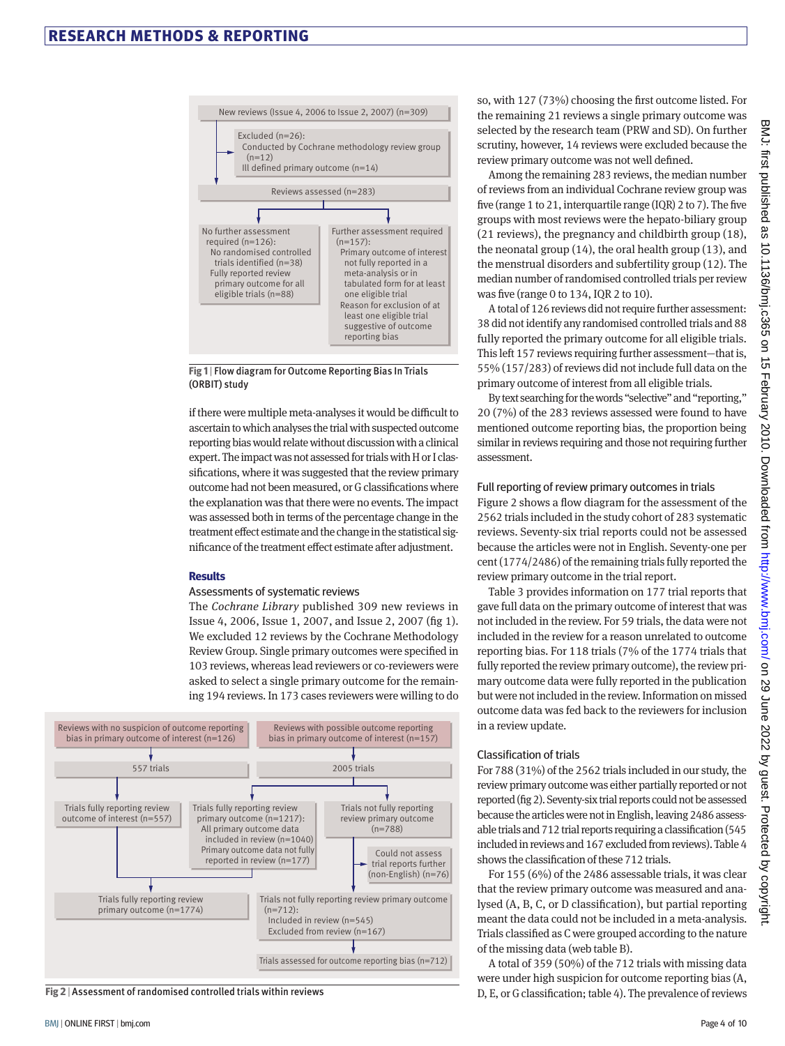

**Fig 1** | Flow diagram for Outcome Reporting Bias In Trials (ORBIT) study

if there were multiple meta-analyses it would be difficult to ascertain to which analyses the trial with suspected outcome reporting bias would relate without discussion with a clinical expert. The impact was not assessed for trials with H or I classifications, where it was suggested that the review primary outcome had not been measured, or G classifications where the explanation was that there were no events. The impact was assessed both in terms of the percentage change in the treatment effect estimate and the change in the statistical significance of the treatment effect estimate after adjustment.

# **Results**

#### Assessments of systematic reviews

The *Cochrane Library* published 309 new reviews in Issue 4, 2006, Issue 1, 2007, and Issue 2, 2007 (fig 1). We excluded 12 reviews by the Cochrane Methodology Review Group. Single primary outcomes were specified in 103 reviews, whereas lead reviewers or co-reviewers were asked to select a single primary outcome for the remaining 194 reviews. In 173 cases reviewers were willing to do



**Fig 2** | Assessment of randomised controlled trials within reviews

so, with 127 (73%) choosing the first outcome listed. For the remaining 21 reviews a single primary outcome was selected by the research team (PRW and SD). On further scrutiny, however, 14 reviews were excluded because the review primary outcome was not well defined.

Among the remaining 283 reviews, the median number of reviews from an individual Cochrane review group was five (range 1 to 21, interquartile range (IQR) 2 to 7). The five groups with most reviews were the hepato-biliary group (21 reviews), the pregnancy and childbirth group (18), the neonatal group (14), the oral health group (13), and the menstrual disorders and subfertility group (12). The median number of randomised controlled trials per review was five (range 0 to 134, IQR 2 to 10).

A total of 126 reviews did not require further assessment: 38 did not identify any randomised controlled trials and 88 fully reported the primary outcome for all eligible trials. This left 157 reviews requiring further assessment—that is, 55% (157/283) of reviews did not include full data on the primary outcome of interest from all eligible trials.

By text searching for the words "selective" and "reporting," 20 (7%) of the 283 reviews assessed were found to have mentioned outcome reporting bias, the proportion being similar in reviews requiring and those not requiring further assessment.

# Full reporting of review primary outcomes in trials

Figure 2 shows a flow diagram for the assessment of the 2562 trials included in the study cohort of 283 systematic reviews. Seventy-six trial reports could not be assessed because the articles were not in English. Seventy-one per cent (1774/2486) of the remaining trials fully reported the review primary outcome in the trial report.

Table 3 provides information on 177 trial reports that gave full data on the primary outcome of interest that was not included in the review. For 59 trials, the data were not included in the review for a reason unrelated to outcome reporting bias. For 118 trials (7% of the 1774 trials that fully reported the review primary outcome), the review primary outcome data were fully reported in the publication but were not included in the review. Information on missed outcome data was fed back to the reviewers for inclusion in a review update.

# Classification of trials

For 788 (31%) of the 2562 trials included in our study, the review primary outcome was either partially reported or not reported (fig 2). Seventy-six trial reports could not be assessed because the articles were not in English, leaving 2486 assessable trials and 712 trial reports requiring a classification (545 included in reviews and 167 excluded from reviews). Table 4 shows the classification of these 712 trials.

For 155 (6%) of the 2486 assessable trials, it was clear that the review primary outcome was measured and analysed (A, B, C, or D classification), but partial reporting meant the data could not be included in a meta-analysis. Trials classified as C were grouped according to the nature of the missing data (web table B).

A total of 359 (50%) of the 712 trials with missing data were under high suspicion for outcome reporting bias (A, D, E, or G classification; table 4). The prevalence of reviews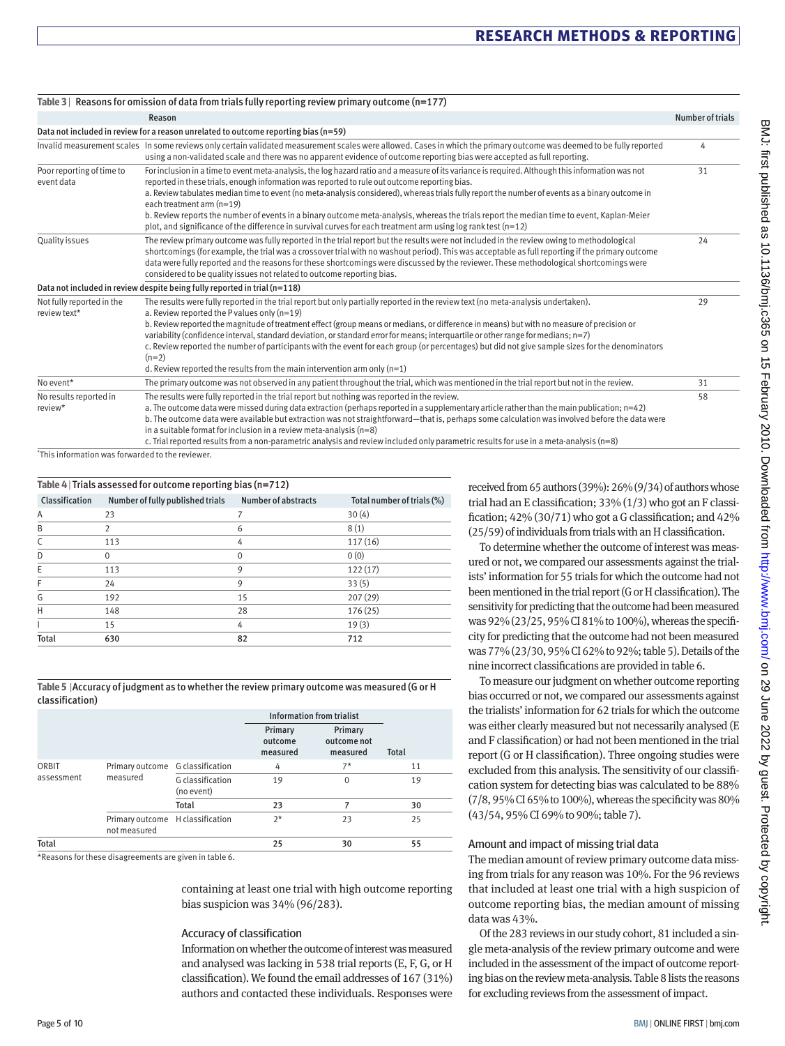|                                           | Table $3 \mid$ Reasons for omission of data from trials fully reporting review primary outcome ( $n=177$ )                                                                                                                                                                                                                                                                                                                                                                                                                                                                                                                                                                                                       |                  |
|-------------------------------------------|------------------------------------------------------------------------------------------------------------------------------------------------------------------------------------------------------------------------------------------------------------------------------------------------------------------------------------------------------------------------------------------------------------------------------------------------------------------------------------------------------------------------------------------------------------------------------------------------------------------------------------------------------------------------------------------------------------------|------------------|
|                                           | Reason                                                                                                                                                                                                                                                                                                                                                                                                                                                                                                                                                                                                                                                                                                           | Number of trials |
|                                           | Data not included in review for a reason unrelated to outcome reporting bias $(n=59)$                                                                                                                                                                                                                                                                                                                                                                                                                                                                                                                                                                                                                            |                  |
|                                           | Invalid measurement scales In some reviews only certain validated measurement scales were allowed. Cases in which the primary outcome was deemed to be fully reported<br>using a non-validated scale and there was no apparent evidence of outcome reporting bias were accepted as full reporting.                                                                                                                                                                                                                                                                                                                                                                                                               | 4                |
| Poor reporting of time to<br>event data   | For inclusion in a time to event meta-analysis, the log hazard ratio and a measure of its variance is required. Although this information was not<br>reported in these trials, enough information was reported to rule out outcome reporting bias.<br>a. Review tabulates median time to event (no meta-analysis considered), whereas trials fully report the number of events as a binary outcome in<br>each treatment arm (n=19)<br>b. Review reports the number of events in a binary outcome meta-analysis, whereas the trials report the median time to event, Kaplan-Meier<br>plot, and significance of the difference in survival curves for each treatment arm using $log rank test (n=12)$              | 31               |
| <b>Quality issues</b>                     | The review primary outcome was fully reported in the trial report but the results were not included in the review owing to methodological<br>shortcomings (for example, the trial was a crossover trial with no washout period). This was acceptable as full reporting if the primary outcome<br>data were fully reported and the reasons for these shortcomings were discussed by the reviewer. These methodological shortcomings were<br>considered to be quality issues not related to outcome reporting bias.                                                                                                                                                                                                | 24               |
|                                           | Data not included in review despite being fully reported in trial (n=118)                                                                                                                                                                                                                                                                                                                                                                                                                                                                                                                                                                                                                                        |                  |
| Not fully reported in the<br>review text* | The results were fully reported in the trial report but only partially reported in the review text (no meta-analysis undertaken).<br>a. Review reported the P values only $(n=19)$<br>b. Review reported the magnitude of treatment effect (group means or medians, or difference in means) but with no measure of precision or<br>variability (confidence interval, standard deviation, or standard error for means; interquartile or other range for medians; n=7)<br>c. Review reported the number of participants with the event for each group (or percentages) but did not give sample sizes for the denominators<br>$(n=2)$<br>d. Review reported the results from the main intervention arm only $(n=1)$ | 29               |
| No event*                                 | The primary outcome was not observed in any patient throughout the trial, which was mentioned in the trial report but not in the review.                                                                                                                                                                                                                                                                                                                                                                                                                                                                                                                                                                         | 31               |
| No results reported in<br>review*         | The results were fully reported in the trial report but nothing was reported in the review.<br>a. The outcome data were missed during data extraction (perhaps reported in a supplementary article rather than the main publication; $n=42$ )<br>b. The outcome data were available but extraction was not straightforward—that is, perhaps some calculation was involved before the data were<br>in a suitable format for inclusion in a review meta-analysis $(n=8)$<br>c. Trial reported results from a non-parametric analysis and review included only parametric results for use in a meta-analysis ( $n=8$ )                                                                                              | 58               |

\* This information was forwarded to the reviewer.

|                | Table 4   Trials assessed for outcome reporting bias ( $n=712$ ) |                     |                            |
|----------------|------------------------------------------------------------------|---------------------|----------------------------|
| Classification | Number of fully published trials                                 | Number of abstracts | Total number of trials (%) |
| Α              | 23                                                               |                     | 30(4)                      |
| B              |                                                                  | 6                   | 8(1)                       |
|                | 113                                                              | 4                   | 117(16)                    |
| D              | 0                                                                | 0                   | 0(0)                       |
| F              | 113                                                              | 9                   | 122(17)                    |
|                | 24                                                               | 9                   | 33(5)                      |
| G              | 192                                                              | 15                  | 207(29)                    |
| Н              | 148                                                              | 28                  | 176(25)                    |
|                | 15                                                               | 4                   | 19(3)                      |
| <b>Total</b>   | 630                                                              | 82                  | 712                        |

**Table 5** |Accuracy of judgment as to whether the review primary outcome was measured (G or H classification)

|            |                                                  |                                | Information from trialist      |                                    |       |
|------------|--------------------------------------------------|--------------------------------|--------------------------------|------------------------------------|-------|
|            |                                                  |                                | Primary<br>outcome<br>measured | Primary<br>outcome not<br>measured | Total |
| ORBIT      | Primary outcome G classification<br>measured     |                                | 4                              | $7*$                               | 11    |
| assessment |                                                  | G classification<br>(no event) | 19                             | $\mathbf 0$                        | 19    |
|            |                                                  | Total                          | 23                             |                                    | 30    |
|            | Primary outcome H classification<br>not measured |                                | $2*$                           | 23                                 | 25    |
| Total      |                                                  |                                | 25                             | 30                                 | 55    |

\*Reasons for these disagreements are given in table 6.

containing at least one trial with high outcome reporting bias suspicion was 34% (96/283).

# Accuracy of classification

Information on whether the outcome of interest was measured and analysed was lacking in 538 trial reports (E, F, G, or H classification). We found the email addresses of 167 (31%) authors and contacted these individuals. Responses were received from 65 authors (39%): 26% (9/34) of authors whose trial had an E classification; 33% (1/3) who got an F classification; 42% (30/71) who got a G classification; and 42% (25/59) of individuals from trials with an H classification.

To determine whether the outcome of interest was measured or not, we compared our assessments against the trialists' information for 55 trials for which the outcome had not been mentioned in the trial report (G or H classification). The sensitivity for predicting that the outcome had been measured was 92% (23/25, 95% CI 81% to 100%), whereas the specificity for predicting that the outcome had not been measured was 77% (23/30, 95% CI 62% to 92%; table 5). Details of the nine incorrect classifications are provided in table 6.

To measure our judgment on whether outcome reporting bias occurred or not, we compared our assessments against the trialists' information for 62 trials for which the outcome was either clearly measured but not necessarily analysed (E and F classification) or had not been mentioned in the trial report (G or H classification). Three ongoing studies were excluded from this analysis. The sensitivity of our classification system for detecting bias was calculated to be 88% (7/8, 95% CI 65% to 100%), whereas the specificity was 80% (43/54, 95% CI 69% to 90%; table 7).

# Amount and impact of missing trial data

The median amount of review primary outcome data missing from trials for any reason was 10%. For the 96 reviews that included at least one trial with a high suspicion of outcome reporting bias, the median amount of missing data was 43%.

Of the 283 reviews in our study cohort, 81 included a single meta-analysis of the review primary outcome and were included in the assessment of the impact of outcome reporting bias on the review meta-analysis. Table 8 lists the reasons for excluding reviews from the assessment of impact.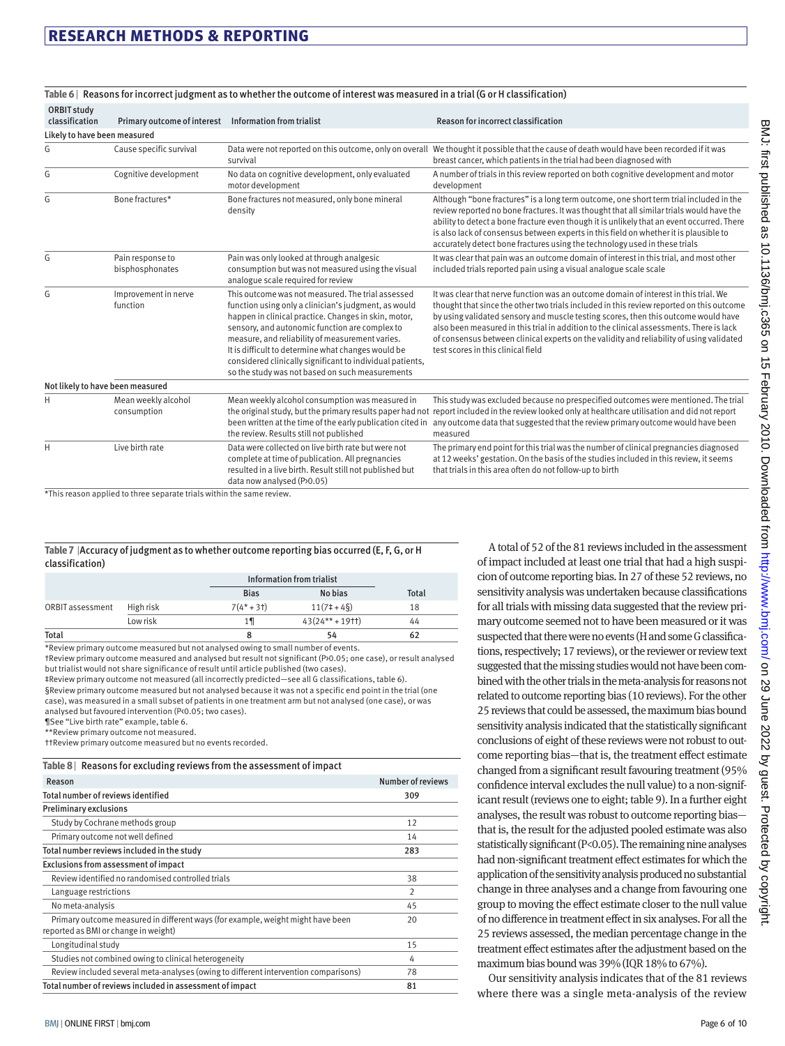| <b>UNDIT SLUUY</b><br>classification | Primary outcome of interest Information from trialist |                                                                                                                                                                                                                                                                                                                                                                                                                                              | <b>Reason for incorrect classification</b>                                                                                                                                                                                                                                                                                                                                                                                                                                                          |
|--------------------------------------|-------------------------------------------------------|----------------------------------------------------------------------------------------------------------------------------------------------------------------------------------------------------------------------------------------------------------------------------------------------------------------------------------------------------------------------------------------------------------------------------------------------|-----------------------------------------------------------------------------------------------------------------------------------------------------------------------------------------------------------------------------------------------------------------------------------------------------------------------------------------------------------------------------------------------------------------------------------------------------------------------------------------------------|
| Likely to have been measured         |                                                       |                                                                                                                                                                                                                                                                                                                                                                                                                                              |                                                                                                                                                                                                                                                                                                                                                                                                                                                                                                     |
| G                                    | Cause specific survival                               | Data were not reported on this outcome, only on overall<br>survival                                                                                                                                                                                                                                                                                                                                                                          | We thought it possible that the cause of death would have been recorded if it was<br>breast cancer, which patients in the trial had been diagnosed with                                                                                                                                                                                                                                                                                                                                             |
| G                                    | Cognitive development                                 | No data on cognitive development, only evaluated<br>motor development                                                                                                                                                                                                                                                                                                                                                                        | A number of trials in this review reported on both cognitive development and motor<br>development                                                                                                                                                                                                                                                                                                                                                                                                   |
| G                                    | Bone fractures*                                       | Bone fractures not measured, only bone mineral<br>density                                                                                                                                                                                                                                                                                                                                                                                    | Although "bone fractures" is a long term outcome, one short term trial included in the<br>review reported no bone fractures. It was thought that all similar trials would have the<br>ability to detect a bone fracture even though it is unlikely that an event occurred. There<br>is also lack of consensus between experts in this field on whether it is plausible to<br>accurately detect bone fractures using the technology used in these trials                                             |
| G                                    | Pain response to<br>bisphosphonates                   | Pain was only looked at through analgesic<br>consumption but was not measured using the visual<br>analogue scale required for review                                                                                                                                                                                                                                                                                                         | It was clear that pain was an outcome domain of interest in this trial, and most other<br>included trials reported pain using a visual analogue scale scale                                                                                                                                                                                                                                                                                                                                         |
| G                                    | Improvement in nerve<br>function                      | This outcome was not measured. The trial assessed<br>function using only a clinician's judgment, as would<br>happen in clinical practice. Changes in skin, motor,<br>sensory, and autonomic function are complex to<br>measure, and reliability of measurement varies.<br>It is difficult to determine what changes would be<br>considered clinically significant to individual patients,<br>so the study was not based on such measurements | It was clear that nerve function was an outcome domain of interest in this trial. We<br>thought that since the other two trials included in this review reported on this outcome<br>by using validated sensory and muscle testing scores, then this outcome would have<br>also been measured in this trial in addition to the clinical assessments. There is lack<br>of consensus between clinical experts on the validity and reliability of using validated<br>test scores in this clinical field |
| Not likely to have been measured     |                                                       |                                                                                                                                                                                                                                                                                                                                                                                                                                              |                                                                                                                                                                                                                                                                                                                                                                                                                                                                                                     |
| Н                                    | Mean weekly alcohol<br>consumption                    | Mean weekly alcohol consumption was measured in<br>the original study, but the primary results paper had not<br>been written at the time of the early publication cited in<br>the review. Results still not published                                                                                                                                                                                                                        | This study was excluded because no prespecified outcomes were mentioned. The trial<br>report included in the review looked only at healthcare utilisation and did not report<br>any outcome data that suggested that the review primary outcome would have been<br>measured                                                                                                                                                                                                                         |
| Н                                    | Live birth rate                                       | Data were collected on live birth rate but were not<br>complete at time of publication. All pregnancies<br>resulted in a live birth. Result still not published but<br>data now analysed (P>0.05)                                                                                                                                                                                                                                            | The primary end point for this trial was the number of clinical pregnancies diagnosed<br>at 12 weeks' gestation. On the basis of the studies included in this review, it seems<br>that trials in this area often do not follow-up to birth                                                                                                                                                                                                                                                          |

#### **Table 6** | Reasons for incorrect judgment as to whether the outcome of interest was measured in a trial (G or H classification) ORBIT study

\*This reason applied to three separate trials within the same review.

# **Table 7** |Accuracy of judgment as to whether outcome reporting bias occurred (E, F, G, or H classification)

|                  |           | Information from trialist |                 |       |
|------------------|-----------|---------------------------|-----------------|-------|
|                  |           | <b>Bias</b>               | No bias         | Total |
| ORBIT assessment | High risk | $7(4* + 3+)$              | $11(7+4)$       | 18    |
|                  | Low risk  | 11                        | $43(24***+19†)$ | 44    |
| <b>Total</b>     |           |                           | 54              | 62    |
| $\cdots$         |           | .                         | $\sim$          |       |

\*Review primary outcome measured but not analysed owing to small number of events. †Review primary outcome measured and analysed but result not significant (P>0.05; one case), or result analysed but trialist would not share significance of result until article published (two cases).

‡Review primary outcome not measured (all incorrectly predicted—see all G classifications, table 6). §Review primary outcome measured but not analysed because it was not a specific end point in the trial (one case), was measured in a small subset of patients in one treatment arm but not analysed (one case), or was analysed but favoured intervention (P<0.05; two cases).

¶See "Live birth rate" example, table 6. \*\*Review primary outcome not measured.

††Review primary outcome measured but no events recorded.

|  |  |  |  | Table $8\, \,$ Reasons for excluding reviews from the assessment of impact |
|--|--|--|--|----------------------------------------------------------------------------|
|--|--|--|--|----------------------------------------------------------------------------|

| Reason                                                                                                                  | Number of reviews |
|-------------------------------------------------------------------------------------------------------------------------|-------------------|
| Total number of reviews identified                                                                                      | 309               |
| <b>Preliminary exclusions</b>                                                                                           |                   |
| Study by Cochrane methods group                                                                                         | 12                |
| Primary outcome not well defined                                                                                        | 14                |
| Total number reviews included in the study                                                                              | 283               |
| Exclusions from assessment of impact                                                                                    |                   |
| Review identified no randomised controlled trials                                                                       | 38                |
| Language restrictions                                                                                                   | $\overline{2}$    |
| No meta-analysis                                                                                                        | 45                |
| Primary outcome measured in different ways (for example, weight might have been<br>reported as BMI or change in weight) | 20                |
| Longitudinal study                                                                                                      | 15                |
| Studies not combined owing to clinical heterogeneity                                                                    | 4                 |
| Review included several meta-analyses (owing to different intervention comparisons)                                     | 78                |
| Total number of reviews included in assessment of impact                                                                | 81                |

A total of 52 of the 81 reviews included in the assessment of impact included at least one trial that had a high suspicion of outcome reporting bias. In 27 of these 52 reviews, no sensitivity analysis was undertaken because classifications for all trials with missing data suggested that the review primary outcome seemed not to have been measured or it was suspected that there were no events (H and some G classifications, respectively; 17 reviews), or the reviewer or review text suggested that the missing studies would not have been combined with the other trials in the meta-analysis for reasons not related to outcome reporting bias (10 reviews). For the other 25 reviews that could be assessed, the maximum bias bound sensitivity analysis indicated that the statistically significant conclusions of eight of these reviews were not robust to outcome reporting bias—that is, the treatment effect estimate changed from a significant result favouring treatment (95% confidence interval excludes the null value) to a non-significant result (reviews one to eight; table 9). In a further eight analyses, the result was robust to outcome reporting bias that is, the result for the adjusted pooled estimate was also statistically significant (P<0.05). The remaining nine analyses had non-significant treatment effect estimates for which the application of the sensitivity analysis produced no substantial change in three analyses and a change from favouring one group to moving the effect estimate closer to the null value of no difference in treatment effect in six analyses. For all the 25 reviews assessed, the median percentage change in the treatment effect estimates after the adjustment based on the maximum bias bound was 39% (IQR 18% to 67%).

Our sensitivity analysis indicates that of the 81 reviews where there was a single meta-analysis of the review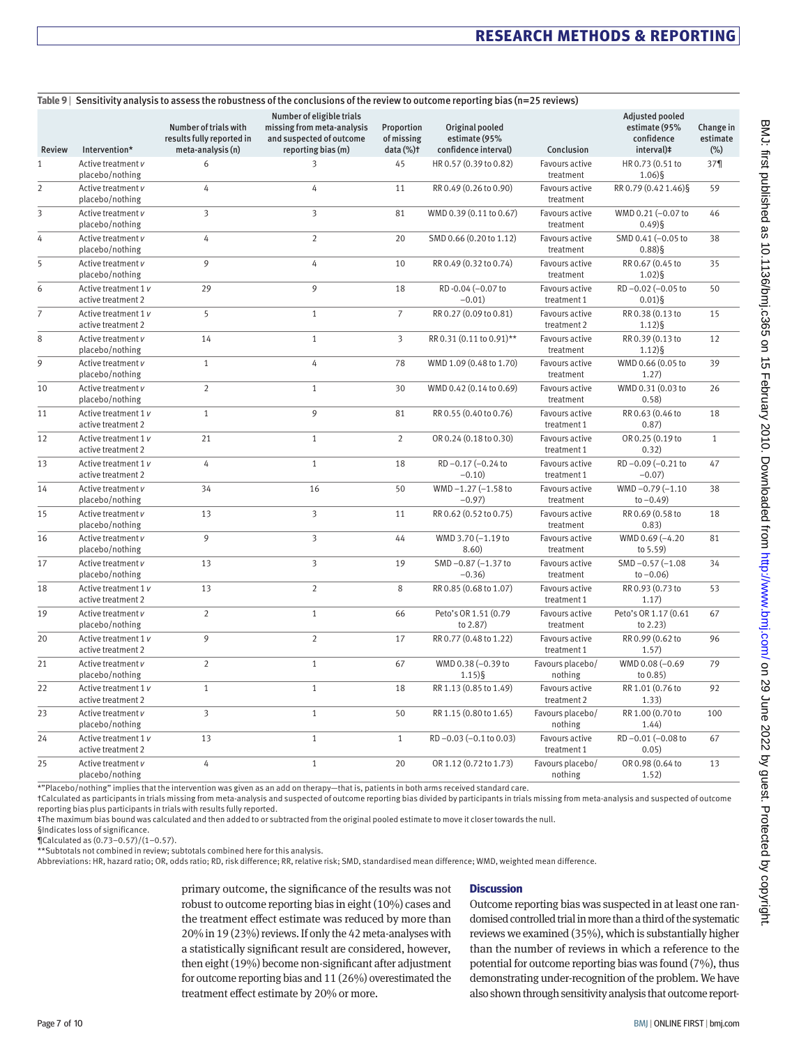| <b>Review</b>  | Intervention*                              | Number of trials with<br>results fully reported in<br>meta-analysis (n) | Number of eligible trials<br>missing from meta-analysis<br>and suspected of outcome<br>reporting bias (m) | Proportion<br>of missing<br>data $(\%)$ t | Original pooled<br>estimate (95%<br>confidence interval) | Conclusion                    | <b>Adjusted pooled</b><br>estimate (95%<br>confidence<br>interval)‡ | Change in<br>estimate<br>$(\%)$ |
|----------------|--------------------------------------------|-------------------------------------------------------------------------|-----------------------------------------------------------------------------------------------------------|-------------------------------------------|----------------------------------------------------------|-------------------------------|---------------------------------------------------------------------|---------------------------------|
| $\mathbf{1}$   | Active treatment v<br>placebo/nothing      | 6                                                                       | 3                                                                                                         | 45                                        | HR 0.57 (0.39 to 0.82)                                   | Favours active<br>treatment   | HR 0.73 (0.51 to<br>$1.06$ )§                                       | 37                              |
| $\overline{2}$ | Active treatment v<br>placebo/nothing      | 4                                                                       | $\overline{4}$                                                                                            | 11                                        | RR 0.49 (0.26 to 0.90)                                   | Favours active<br>treatment   | RR 0.79 (0.42 1.46) §                                               | 59                              |
| 3              | Active treatment v<br>placebo/nothing      | 3                                                                       | $\overline{3}$                                                                                            | 81                                        | WMD 0.39 (0.11 to 0.67)                                  | Favours active<br>treatment   | WMD 0.21 (-0.07 to<br>$0.49$ §                                      | 46                              |
| 4              | Active treatment v<br>placebo/nothing      | $\overline{4}$                                                          | $\overline{2}$                                                                                            | 20                                        | SMD 0.66 (0.20 to 1.12)                                  | Favours active<br>treatment   | SMD 0.41 (-0.05 to<br>$0.88$ )§                                     | 38                              |
| 5              | Active treatment v<br>placebo/nothing      | 9                                                                       | 4                                                                                                         | 10                                        | RR 0.49 (0.32 to 0.74)                                   | Favours active<br>treatment   | RR 0.67 (0.45 to<br>$1.02$ )§                                       | 35                              |
| 6              | Active treatment 1 v<br>active treatment 2 | 29                                                                      | 9                                                                                                         | 18                                        | RD-0.04 (-0.07 to<br>$-0.01$                             | Favours active<br>treatment 1 | RD-0.02 (-0.05 to<br>$0.01$ )§                                      | 50                              |
| $\overline{7}$ | Active treatment 1 v<br>active treatment 2 | 5                                                                       | $\mathbf{1}$                                                                                              | $\overline{7}$                            | RR 0.27 (0.09 to 0.81)                                   | Favours active<br>treatment 2 | RR 0.38 (0.13 to<br>$1.12$ ) §                                      | 15                              |
| 8              | Active treatment v<br>placebo/nothing      | 14                                                                      | $\mathbf{1}$                                                                                              | 3                                         | RR 0.31 (0.11 to 0.91)**                                 | Favours active<br>treatment   | RR 0.39 (0.13 to<br>$1.12$ ) §                                      | 12                              |
| 9              | Active treatment v<br>placebo/nothing      | $1\,$                                                                   | 4                                                                                                         | 78                                        | WMD 1.09 (0.48 to 1.70)                                  | Favours active<br>treatment   | WMD 0.66 (0.05 to<br>1.27)                                          | 39                              |
| 10             | Active treatment v<br>placebo/nothing      | $\overline{2}$                                                          | $\mathbf{1}$                                                                                              | 30                                        | WMD 0.42 (0.14 to 0.69)                                  | Favours active<br>treatment   | WMD 0.31 (0.03 to<br>0.58)                                          | 26                              |
| 11             | Active treatment 1 v<br>active treatment 2 | $1\,$                                                                   | 9                                                                                                         | 81                                        | RR 0.55 (0.40 to 0.76)                                   | Favours active<br>treatment 1 | RR 0.63 (0.46 to<br>0.87)                                           | 18                              |
| 12             | Active treatment 1 v<br>active treatment 2 | 21                                                                      | $\mathbf{1}$                                                                                              | $\overline{2}$                            | OR 0.24 (0.18 to 0.30)                                   | Favours active<br>treatment 1 | OR 0.25 (0.19 to<br>0.32)                                           | $\mathbf{1}$                    |
| 13             | Active treatment 1 v<br>active treatment 2 | $\overline{4}$                                                          | $\mathbf{1}$                                                                                              | 18                                        | RD-0.17 (-0.24 to<br>$-0.10$                             | Favours active<br>treatment 1 | RD-0.09 (-0.21 to<br>$-0.07$ )                                      | 47                              |
| 14             | Active treatment v<br>placebo/nothing      | 34                                                                      | 16                                                                                                        | 50                                        | WMD $-1.27$ ( $-1.58$ to<br>$-0.97$                      | Favours active<br>treatment   | WMD-0.79 $(-1.10$<br>$to -0.49$                                     | 38                              |
| 15             | Active treatment v<br>placebo/nothing      | 13                                                                      | $\overline{3}$                                                                                            | 11                                        | RR 0.62 (0.52 to 0.75)                                   | Favours active<br>treatment   | RR 0.69 (0.58 to<br>0.83)                                           | 18                              |
| 16             | Active treatment v<br>placebo/nothing      | 9                                                                       | $\overline{3}$                                                                                            | 44                                        | WMD 3.70 (-1.19 to<br>8.60)                              | Favours active<br>treatment   | WMD 0.69 (-4.20<br>to 5.59)                                         | 81                              |
| 17             | Active treatment v<br>placebo/nothing      | 13                                                                      | 3                                                                                                         | 19                                        | SMD-0.87 (-1.37 to<br>$-0.36$                            | Favours active<br>treatment   | $SMD -0.57(-1.08)$<br>$to -0.06$                                    | 34                              |
| 18             | Active treatment 1 v<br>active treatment 2 | 13                                                                      | $\overline{2}$                                                                                            | 8                                         | RR 0.85 (0.68 to 1.07)                                   | Favours active<br>treatment 1 | RR 0.93 (0.73 to<br>1.17)                                           | 53                              |
| 19             | Active treatment v<br>placebo/nothing      | $\overline{2}$                                                          | $\mathbf{1}$                                                                                              | 66                                        | Peto's OR 1.51 (0.79<br>to 2.87)                         | Favours active<br>treatment   | Peto's OR 1.17 (0.61<br>to 2.23)                                    | 67                              |
| 20             | Active treatment 1 v<br>active treatment 2 | 9                                                                       | $\overline{2}$                                                                                            | 17                                        | RR 0.77 (0.48 to 1.22)                                   | Favours active<br>treatment 1 | RR 0.99 (0.62 to<br>1.57)                                           | 96                              |
| 21             | Active treatment v<br>placebo/nothing      | $\overline{2}$                                                          | $\mathbf{1}$                                                                                              | 67                                        | WMD 0.38 (-0.39 to<br>$1.15)$ §                          | Favours placebo/<br>nothing   | WMD 0.08 (-0.69<br>to 0.85)                                         | 79                              |
| 22             | Active treatment 1 v<br>active treatment 2 | $1\,$                                                                   | $\mathbf{1}$                                                                                              | 18                                        | RR 1.13 (0.85 to 1.49)                                   | Favours active<br>treatment 2 | RR 1.01 (0.76 to<br>1.33)                                           | 92                              |
| 23             | Active treatment v<br>placebo/nothing      | $\mathbf{3}$                                                            | $1\,$                                                                                                     | 50                                        | RR 1.15 (0.80 to 1.65)                                   | Favours placebo/<br>nothing   | RR 1.00 (0.70 to<br>1.44)                                           | 100                             |
| 24             | Active treatment 1 v<br>active treatment 2 | 13                                                                      | $\mathbf{1}$                                                                                              | $\mathbf{1}$                              | $RD - 0.03 (-0.1 to 0.03)$                               | Favours active<br>treatment 1 | RD-0.01 (-0.08 to<br>0.05)                                          | 67                              |
| 25             | Active treatment v<br>placebo/nothing      | $\overline{4}$                                                          | $\,1\,$                                                                                                   | 20                                        | OR 1.12 (0.72 to 1.73)                                   | Favours placebo/<br>nothing   | OR 0.98 (0.64 to<br>1.52)                                           | 13                              |

\*"Placebo/nothing" implies that the intervention was given as an add on therapy—that is, patients in both arms received standard care.

†Calculated as participants in trials missing from meta-analysis and suspected of outcome reporting bias divided by participants in trials missing from meta-analysis and suspected of outcome reporting bias plus participants in trials with results fully reported.

‡The maximum bias bound was calculated and then added to or subtracted from the original pooled estimate to move it closer towards the null.

§Indicates loss of significance.

¶Calculated as (0.73−0.57)/(1−0.57).

\*\*Subtotals not combined in review; subtotals combined here for this analysis.

Abbreviations: HR, hazard ratio; OR, odds ratio; RD, risk difference; RR, relative risk; SMD, standardised mean difference; WMD, weighted mean difference.

primary outcome, the significance of the results was not robust to outcome reporting bias in eight (10%) cases and the treatment effect estimate was reduced by more than 20% in 19 (23%) reviews. If only the 42 meta-analyses with a statistically significant result are considered, however, then eight (19%) become non-significant after adjustment for outcome reporting bias and 11 (26%) overestimated the treatment effect estimate by 20% or more.

#### **Discussion**

Outcome reporting bias was suspected in at least one randomised controlled trial in more than a third of the systematic reviews we examined (35%), which is substantially higher than the number of reviews in which a reference to the potential for outcome reporting bias was found (7%), thus demonstrating under-recognition of the problem. We have also shown through sensitivity analysis that outcome report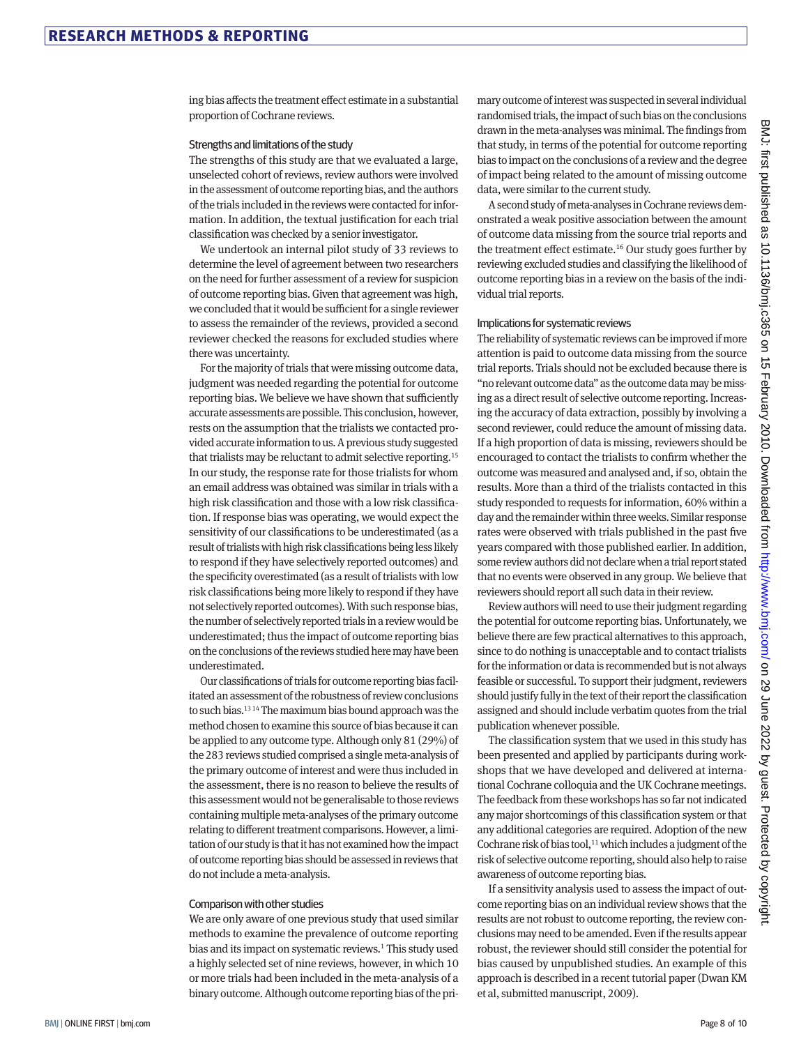ing bias affects the treatment effect estimate in a substantial proportion of Cochrane reviews.

#### Strengths and limitations of the study

The strengths of this study are that we evaluated a large, unselected cohort of reviews, review authors were involved in the assessment of outcome reporting bias, and the authors of the trials included in the reviews were contacted for information. In addition, the textual justification for each trial classification was checked by a senior investigator.

We undertook an internal pilot study of 33 reviews to determine the level of agreement between two researchers on the need for further assessment of a review for suspicion of outcome reporting bias. Given that agreement was high, we concluded that it would be sufficient for a single reviewer to assess the remainder of the reviews, provided a second reviewer checked the reasons for excluded studies where there was uncertainty.

For the majority of trials that were missing outcome data, judgment was needed regarding the potential for outcome reporting bias. We believe we have shown that sufficiently accurate assessments are possible. This conclusion, however, rests on the assumption that the trialists we contacted provided accurate information to us. A previous study suggested that trialists may be reluctant to admit selective reporting.15 In our study, the response rate for those trialists for whom an email address was obtained was similar in trials with a high risk classification and those with a low risk classification. If response bias was operating, we would expect the sensitivity of our classifications to be underestimated (as a result of trialists with high risk classifications being less likely to respond if they have selectively reported outcomes) and the specificity overestimated (as a result of trialists with low risk classifications being more likely to respond if they have not selectively reported outcomes). With such response bias, the number of selectively reported trials in a review would be underestimated; thus the impact of outcome reporting bias on the conclusions of the reviews studied here may have been underestimated.

Our classifications of trials for outcome reporting bias facilitated an assessment of the robustness of review conclusions to such bias.1314 The maximum bias bound approach was the method chosen to examine this source of bias because it can be applied to any outcome type. Although only 81 (29%) of the 283 reviews studied comprised a single meta-analysis of the primary outcome of interest and were thus included in the assessment, there is no reason to believe the results of this assessment would not be generalisable to those reviews containing multiple meta-analyses of the primary outcome relating to different treatment comparisons. However, a limitation of our study is that it has not examined how the impact of outcome reporting bias should be assessed in reviews that do not include a meta-analysis.

#### Comparison with other studies

We are only aware of one previous study that used similar methods to examine the prevalence of outcome reporting bias and its impact on systematic reviews.<sup>1</sup> This study used a highly selected set of nine reviews, however, in which 10 or more trials had been included in the meta-analysis of a binary outcome. Although outcome reporting bias of the primary outcome of interest was suspected in several individual randomised trials, the impact of such bias on the conclusions drawn in the meta-analyses was minimal. The findings from that study, in terms of the potential for outcome reporting bias to impact on the conclusions of a review and the degree of impact being related to the amount of missing outcome data, were similar to the current study.

A second study of meta-analyses in Cochrane reviews demonstrated a weak positive association between the amount of outcome data missing from the source trial reports and the treatment effect estimate.16 Our study goes further by reviewing excluded studies and classifying the likelihood of outcome reporting bias in a review on the basis of the individual trial reports.

# Implications for systematic reviews

The reliability of systematic reviews can be improved if more attention is paid to outcome data missing from the source trial reports. Trials should not be excluded because there is "no relevant outcome data" as the outcome data may be missing as a direct result of selective outcome reporting. Increasing the accuracy of data extraction, possibly by involving a second reviewer, could reduce the amount of missing data. If a high proportion of data is missing, reviewers should be encouraged to contact the trialists to confirm whether the outcome was measured and analysed and, if so, obtain the results. More than a third of the trialists contacted in this study responded to requests for information, 60% within a day and the remainder within three weeks. Similar response rates were observed with trials published in the past five years compared with those published earlier. In addition, some review authors did not declare when a trial report stated that no events were observed in any group. We believe that reviewers should report all such data in their review.

Review authors will need to use their judgment regarding the potential for outcome reporting bias. Unfortunately, we believe there are few practical alternatives to this approach, since to do nothing is unacceptable and to contact trialists for the information or data is recommended but is not always feasible or successful. To support their judgment, reviewers should justify fully in the text of their report the classification assigned and should include verbatim quotes from the trial publication whenever possible.

The classification system that we used in this study has been presented and applied by participants during workshops that we have developed and delivered at international Cochrane colloquia and the UK Cochrane meetings. The feedback from these workshops has so far not indicated any major shortcomings of this classification system or that any additional categories are required. Adoption of the new Cochrane risk of bias tool, $11$  which includes a judgment of the risk of selective outcome reporting, should also help to raise awareness of outcome reporting bias.

If a sensitivity analysis used to assess the impact of outcome reporting bias on an individual review shows that the results are not robust to outcome reporting, the review conclusions may need to be amended. Even if the results appear robust, the reviewer should still consider the potential for bias caused by unpublished studies. An example of this approach is described in a recent tutorial paper (Dwan KM et al, submitted manuscript, 2009).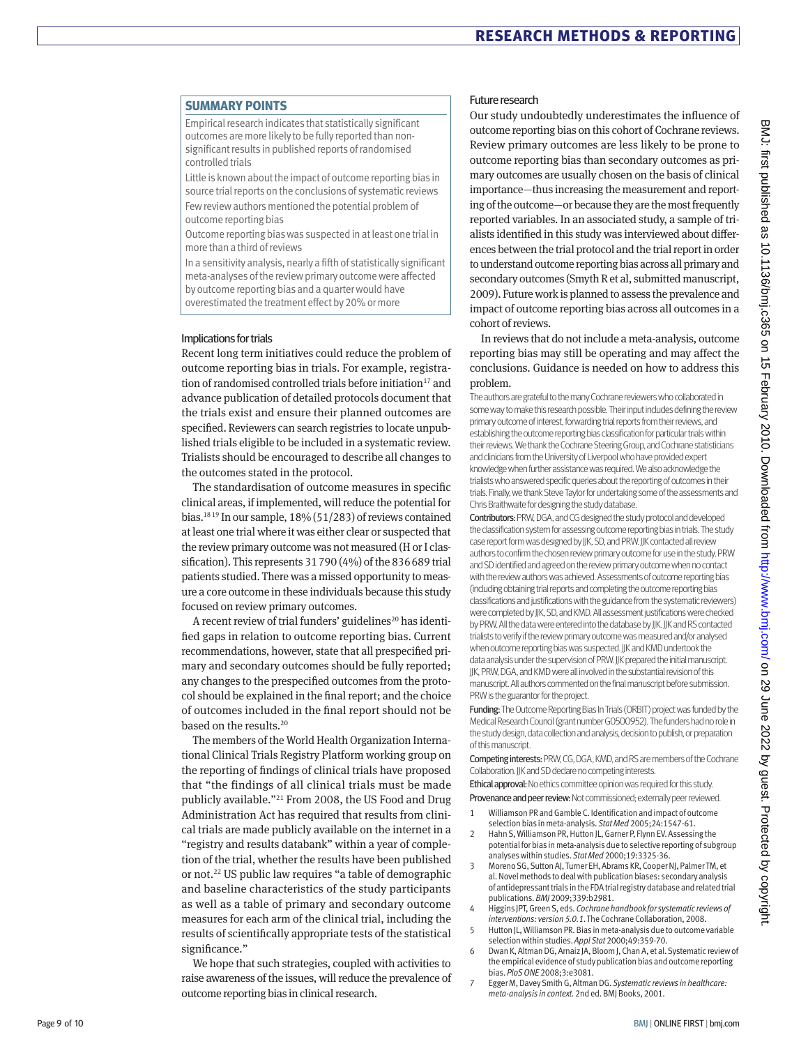#### **Summary points**

Empirical research indicates that statistically significant outcomes are more likely to be fully reported than nonsignificant results in published reports of randomised controlled trials

Little is known about the impact of outcome reporting bias in source trial reports on the conclusions of systematic reviews

Few review authors mentioned the potential problem of outcome reporting bias

Outcome reporting bias was suspected in at least one trial in more than a third of reviews

In a sensitivity analysis, nearly a fifth of statistically significant meta-analyses of the review primary outcome were affected by outcome reporting bias and a quarter would have

overestimated the treatment effect by 20% or more

# Implications for trials

Recent long term initiatives could reduce the problem of outcome reporting bias in trials. For example, registration of randomised controlled trials before initiation<sup>17</sup> and advance publication of detailed protocols document that the trials exist and ensure their planned outcomes are specified. Reviewers can search registries to locate unpublished trials eligible to be included in a systematic review. Trialists should be encouraged to describe all changes to the outcomes stated in the protocol.

The standardisation of outcome measures in specific clinical areas, if implemented, will reduce the potential for bias.18 19 In our sample, 18% (51/283) of reviews contained at least one trial where it was either clear or suspected that the review primary outcome was not measured (H or I classification). This represents 31790 (4%) of the 836689 trial patients studied. There was a missed opportunity to measure a core outcome in these individuals because this study focused on review primary outcomes.

A recent review of trial funders' guidelines<sup>20</sup> has identified gaps in relation to outcome reporting bias. Current recommendations, however, state that all prespecified primary and secondary outcomes should be fully reported; any changes to the prespecified outcomes from the protocol should be explained in the final report; and the choice of outcomes included in the final report should not be based on the results.20

The members of the World Health Organization International Clinical Trials Registry Platform working group on the reporting of findings of clinical trials have proposed that "the findings of all clinical trials must be made publicly available."21 From 2008, the US Food and Drug Administration Act has required that results from clinical trials are made publicly available on the internet in a "registry and results databank" within a year of completion of the trial, whether the results have been published or not.22 US public law requires "a table of demographic and baseline characteristics of the study participants as well as a table of primary and secondary outcome measures for each arm of the clinical trial, including the results of scientifically appropriate tests of the statistical significance."

We hope that such strategies, coupled with activities to raise awareness of the issues, will reduce the prevalence of outcome reporting bias in clinical research.

#### Future research

Our study undoubtedly underestimates the influence of outcome reporting bias on this cohort of Cochrane reviews. Review primary outcomes are less likely to be prone to outcome reporting bias than secondary outcomes as primary outcomes are usually chosen on the basis of clinical importance—thus increasing the measurement and reporting of the outcome—or because they are the most frequently reported variables. In an associated study, a sample of trialists identified in this study was interviewed about differences between the trial protocol and the trial report in order to understand outcome reporting bias across all primary and secondary outcomes (Smyth R et al, submitted manuscript, 2009). Future work is planned to assess the prevalence and impact of outcome reporting bias across all outcomes in a cohort of reviews.

In reviews that do not include a meta-analysis, outcome reporting bias may still be operating and may affect the conclusions. Guidance is needed on how to address this problem.

The authors are grateful to the many Cochrane reviewers who collaborated in some way to make this research possible. Their input includes defining the review primary outcome of interest, forwarding trial reports from their reviews, and establishing the outcome reporting bias classification for particular trials within their reviews. We thank the Cochrane Steering Group, and Cochrane statisticians and clinicians from the University of Liverpool who have provided expert knowledge when further assistance was required. We also acknowledge the trialists who answered specific queries about the reporting of outcomes in their trials. Finally, we thank Steve Taylor for undertaking some of the assessments and Chris Braithwaite for designing the study database.

Contributors: PRW, DGA, and CG designed the study protocol and developed the classification system for assessing outcome reporting bias in trials. The study case report form was designed by JJK, SD, and PRW. JJK contacted all review authors to confirm the chosen review primary outcome for use in the study. PRW and SD identified and agreed on the review primary outcome when no contact with the review authors was achieved. Assessments of outcome reporting bias (including obtaining trial reports and completing the outcome reporting bias classifications and justifications with the guidance from the systematic reviewers) were completed by JJK, SD, and KMD. All assessment justifications were checked by PRW. All the data were entered into the database by JJK. JJK and RS contacted trialists to verify if the review primary outcome was measured and/or analysed when outcome reporting bias was suspected. JJK and KMD undertook the data analysis under the supervision of PRW. JJK prepared the initial manuscript. JJK, PRW, DGA, and KMD were all involved in the substantial revision of this manuscript. All authors commented on the final manuscript before submission. PRW is the guarantor for the project.

Funding: The Outcome Reporting Bias In Trials (ORBIT) project was funded by the Medical Research Council (grant number G0500952). The funders had no role in the study design, data collection and analysis, decision to publish, or preparation of this manuscript.

Competing interests: PRW, CG, DGA, KMD, and RS are members of the Cochrane Collaboration. JJK and SD declare no competing interests.

Ethical approval: No ethics committee opinion was required for this study.

Provenance and peer review: Not commissioned; externally peer reviewed.

- 1 Williamson PR and Gamble C. Identification and impact of outcome selection bias in meta-analysis. *Stat Med* 2005;24:1547-61. 2 Hahn S, Williamson PR, Hutton JL, Garner P, Flynn EV. Assessing the
- potential for bias in meta-analysis due to selective reporting of subgroup analyses within studies. *Stat Med* 2000;19:3325-36. 3 Moreno SG, Sutton AJ, Turner EH, Abrams KR, Cooper NJ, Palmer TM, et
- al. Novel methods to deal with publication biases: secondary analysis of antidepressant trials in the FDA trial registry database and related trial publications. *BMJ* 2009;339:b2981.
- 4 Higgins JPT, Green S, eds. *Cochrane handbook for systematic reviews of interventions: version 5.0.1*. The Cochrane Collaboration, 2008.
- 5 Hutton JL, Williamson PR. Bias in meta-analysis due to outcome variable selection within studies. *Appl Stat* 2000;49:359-70.
- 6 Dwan K, Altman DG, Arnaiz JA, Bloom J, Chan A, et al. Systematic review of the empirical evidence of study publication bias and outcome reporting bias. *PloS ONE* 2008;3:e3081.
- 7 Egger M, Davey Smith G, Altman DG. *Systematic reviews in healthcare: meta-analysis in context.* 2nd ed. BMJ Books, 2001.

BMJ: first published